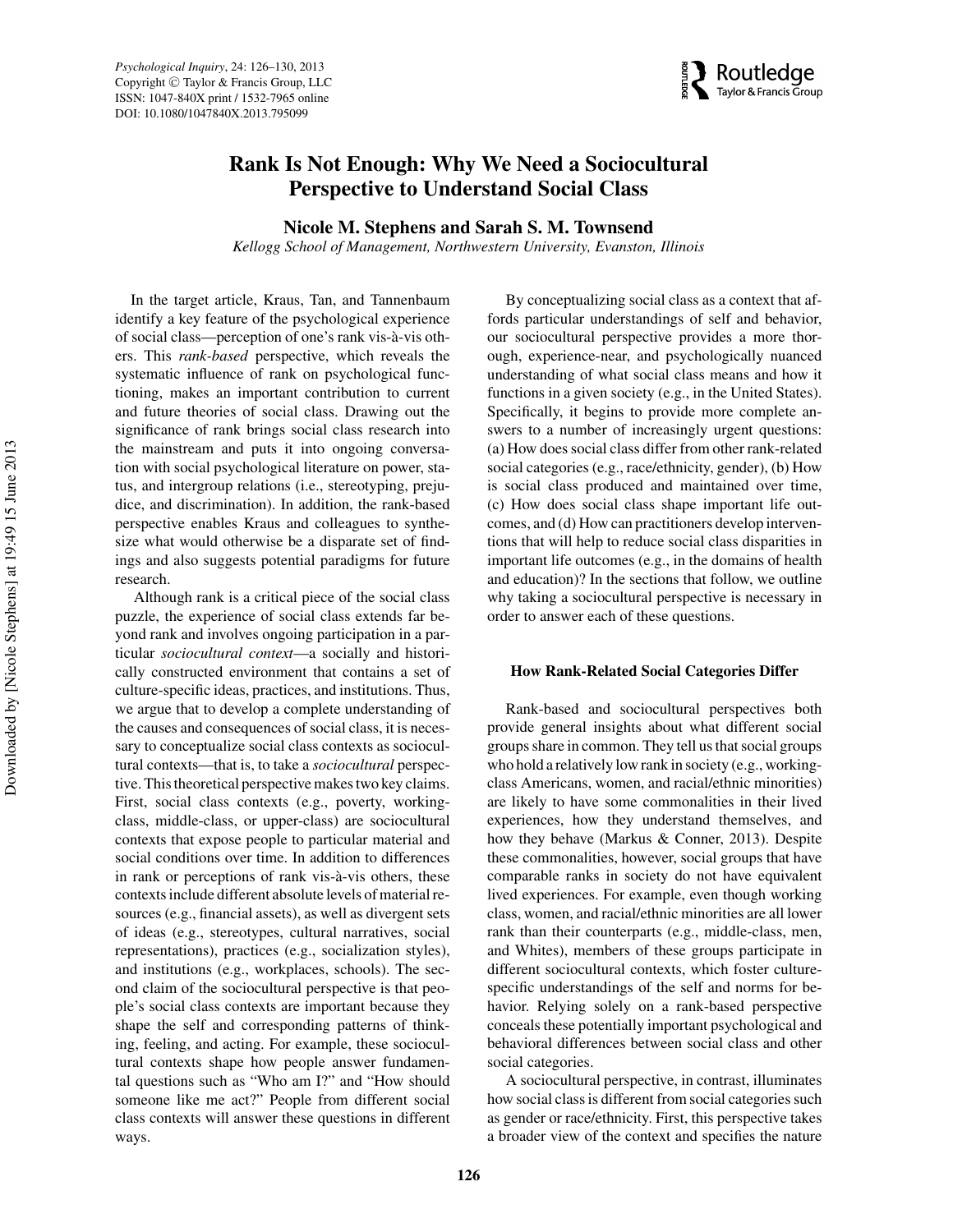

# **Rank Is Not Enough: Why We Need a Sociocultural Perspective to Understand Social Class**

## **Nicole M. Stephens and Sarah S. M. Townsend**

*Kellogg School of Management, Northwestern University, Evanston, Illinois*

In the target article, Kraus, Tan, and Tannenbaum identify a key feature of the psychological experience of social class—perception of one's rank vis-a-vis oth- ` ers. This *rank-based* perspective, which reveals the systematic influence of rank on psychological functioning, makes an important contribution to current and future theories of social class. Drawing out the significance of rank brings social class research into the mainstream and puts it into ongoing conversation with social psychological literature on power, status, and intergroup relations (i.e., stereotyping, prejudice, and discrimination). In addition, the rank-based perspective enables Kraus and colleagues to synthesize what would otherwise be a disparate set of findings and also suggests potential paradigms for future research.

Although rank is a critical piece of the social class puzzle, the experience of social class extends far beyond rank and involves ongoing participation in a particular *sociocultural context*—a socially and historically constructed environment that contains a set of culture-specific ideas, practices, and institutions. Thus, we argue that to develop a complete understanding of the causes and consequences of social class, it is necessary to conceptualize social class contexts as sociocultural contexts—that is, to take a *sociocultural* perspective. This theoretical perspective makes two key claims. First, social class contexts (e.g., poverty, workingclass, middle-class, or upper-class) are sociocultural contexts that expose people to particular material and social conditions over time. In addition to differences in rank or perceptions of rank vis-à-vis others, these contexts include different absolute levels of material resources (e.g., financial assets), as well as divergent sets of ideas (e.g., stereotypes, cultural narratives, social representations), practices (e.g., socialization styles), and institutions (e.g., workplaces, schools). The second claim of the sociocultural perspective is that people's social class contexts are important because they shape the self and corresponding patterns of thinking, feeling, and acting. For example, these sociocultural contexts shape how people answer fundamental questions such as "Who am I?" and "How should someone like me act?" People from different social class contexts will answer these questions in different ways.

By conceptualizing social class as a context that affords particular understandings of self and behavior, our sociocultural perspective provides a more thorough, experience-near, and psychologically nuanced understanding of what social class means and how it functions in a given society (e.g., in the United States). Specifically, it begins to provide more complete answers to a number of increasingly urgent questions: (a) How does social class differ from other rank-related social categories (e.g., race/ethnicity, gender), (b) How is social class produced and maintained over time, (c) How does social class shape important life outcomes, and (d) How can practitioners develop interventions that will help to reduce social class disparities in important life outcomes (e.g., in the domains of health and education)? In the sections that follow, we outline why taking a sociocultural perspective is necessary in order to answer each of these questions.

## **How Rank-Related Social Categories Differ**

Rank-based and sociocultural perspectives both provide general insights about what different social groups share in common. They tell us that social groups who hold a relatively low rank in society (e.g., workingclass Americans, women, and racial/ethnic minorities) are likely to have some commonalities in their lived experiences, how they understand themselves, and how they behave (Markus & Conner, 2013). Despite these commonalities, however, social groups that have comparable ranks in society do not have equivalent lived experiences. For example, even though working class, women, and racial/ethnic minorities are all lower rank than their counterparts (e.g., middle-class, men, and Whites), members of these groups participate in different sociocultural contexts, which foster culturespecific understandings of the self and norms for behavior. Relying solely on a rank-based perspective conceals these potentially important psychological and behavioral differences between social class and other social categories.

A sociocultural perspective, in contrast, illuminates how social class is different from social categories such as gender or race/ethnicity. First, this perspective takes a broader view of the context and specifies the nature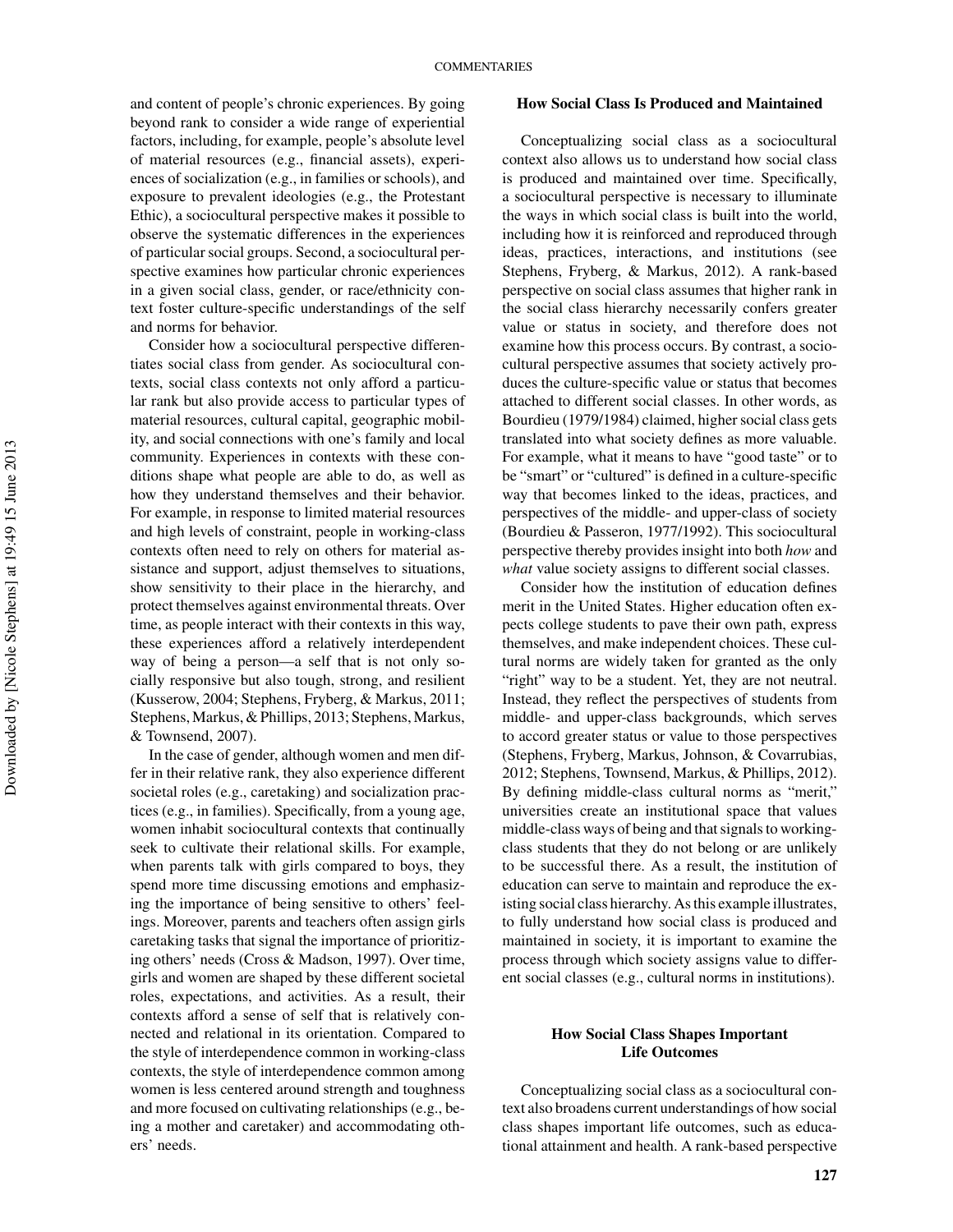and content of people's chronic experiences. By going beyond rank to consider a wide range of experiential factors, including, for example, people's absolute level of material resources (e.g., financial assets), experiences of socialization (e.g., in families or schools), and exposure to prevalent ideologies (e.g., the Protestant Ethic), a sociocultural perspective makes it possible to observe the systematic differences in the experiences of particular social groups. Second, a sociocultural perspective examines how particular chronic experiences in a given social class, gender, or race/ethnicity context foster culture-specific understandings of the self and norms for behavior.

Consider how a sociocultural perspective differentiates social class from gender. As sociocultural contexts, social class contexts not only afford a particular rank but also provide access to particular types of material resources, cultural capital, geographic mobility, and social connections with one's family and local community. Experiences in contexts with these conditions shape what people are able to do, as well as how they understand themselves and their behavior. For example, in response to limited material resources and high levels of constraint, people in working-class contexts often need to rely on others for material assistance and support, adjust themselves to situations, show sensitivity to their place in the hierarchy, and protect themselves against environmental threats. Over time, as people interact with their contexts in this way, these experiences afford a relatively interdependent way of being a person—a self that is not only socially responsive but also tough, strong, and resilient (Kusserow, 2004; Stephens, Fryberg, & Markus, 2011; Stephens, Markus, & Phillips, 2013; Stephens, Markus, & Townsend, 2007).

In the case of gender, although women and men differ in their relative rank, they also experience different societal roles (e.g., caretaking) and socialization practices (e.g., in families). Specifically, from a young age, women inhabit sociocultural contexts that continually seek to cultivate their relational skills. For example, when parents talk with girls compared to boys, they spend more time discussing emotions and emphasizing the importance of being sensitive to others' feelings. Moreover, parents and teachers often assign girls caretaking tasks that signal the importance of prioritizing others' needs (Cross & Madson, 1997). Over time, girls and women are shaped by these different societal roles, expectations, and activities. As a result, their contexts afford a sense of self that is relatively connected and relational in its orientation. Compared to the style of interdependence common in working-class contexts, the style of interdependence common among women is less centered around strength and toughness and more focused on cultivating relationships (e.g., being a mother and caretaker) and accommodating others' needs.

## **How Social Class Is Produced and Maintained**

Conceptualizing social class as a sociocultural context also allows us to understand how social class is produced and maintained over time. Specifically, a sociocultural perspective is necessary to illuminate the ways in which social class is built into the world, including how it is reinforced and reproduced through ideas, practices, interactions, and institutions (see Stephens, Fryberg, & Markus, 2012). A rank-based perspective on social class assumes that higher rank in the social class hierarchy necessarily confers greater value or status in society, and therefore does not examine how this process occurs. By contrast, a sociocultural perspective assumes that society actively produces the culture-specific value or status that becomes attached to different social classes. In other words, as Bourdieu (1979/1984) claimed, higher social class gets translated into what society defines as more valuable. For example, what it means to have "good taste" or to be "smart" or "cultured" is defined in a culture-specific way that becomes linked to the ideas, practices, and perspectives of the middle- and upper-class of society (Bourdieu & Passeron, 1977/1992). This sociocultural perspective thereby provides insight into both *how* and *what* value society assigns to different social classes.

Consider how the institution of education defines merit in the United States. Higher education often expects college students to pave their own path, express themselves, and make independent choices. These cultural norms are widely taken for granted as the only "right" way to be a student. Yet, they are not neutral. Instead, they reflect the perspectives of students from middle- and upper-class backgrounds, which serves to accord greater status or value to those perspectives (Stephens, Fryberg, Markus, Johnson, & Covarrubias, 2012; Stephens, Townsend, Markus, & Phillips, 2012). By defining middle-class cultural norms as "merit," universities create an institutional space that values middle-class ways of being and that signals to workingclass students that they do not belong or are unlikely to be successful there. As a result, the institution of education can serve to maintain and reproduce the existing social class hierarchy. As this example illustrates, to fully understand how social class is produced and maintained in society, it is important to examine the process through which society assigns value to different social classes (e.g., cultural norms in institutions).

## **How Social Class Shapes Important Life Outcomes**

Conceptualizing social class as a sociocultural context also broadens current understandings of how social class shapes important life outcomes, such as educational attainment and health. A rank-based perspective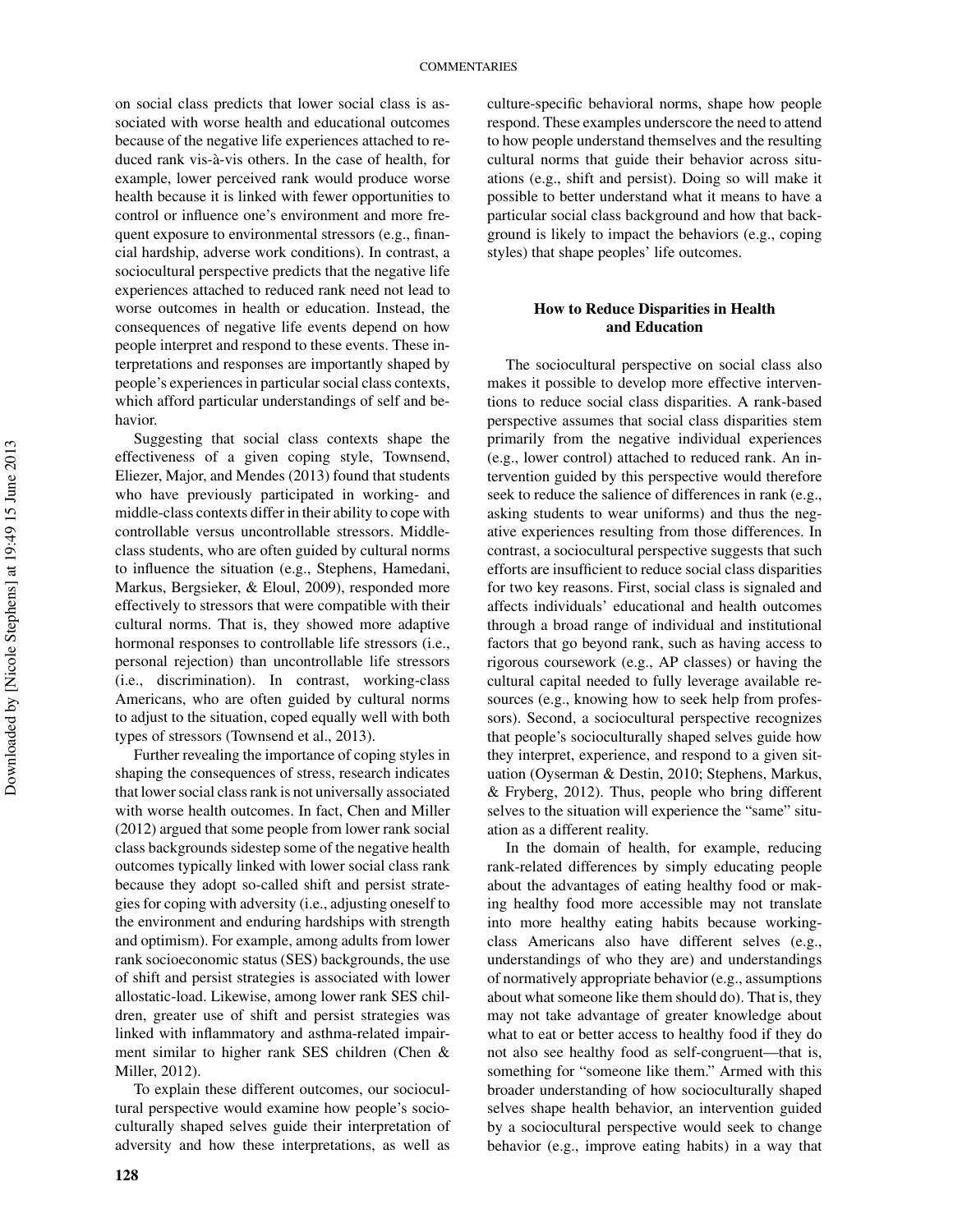on social class predicts that lower social class is associated with worse health and educational outcomes because of the negative life experiences attached to reduced rank vis-a-vis others. In the case of health, for ` example, lower perceived rank would produce worse health because it is linked with fewer opportunities to control or influence one's environment and more frequent exposure to environmental stressors (e.g., financial hardship, adverse work conditions). In contrast, a sociocultural perspective predicts that the negative life experiences attached to reduced rank need not lead to worse outcomes in health or education. Instead, the consequences of negative life events depend on how people interpret and respond to these events. These interpretations and responses are importantly shaped by people's experiences in particular social class contexts, which afford particular understandings of self and behavior.

Suggesting that social class contexts shape the effectiveness of a given coping style, Townsend, Eliezer, Major, and Mendes (2013) found that students who have previously participated in working- and middle-class contexts differ in their ability to cope with controllable versus uncontrollable stressors. Middleclass students, who are often guided by cultural norms to influence the situation (e.g., Stephens, Hamedani, Markus, Bergsieker, & Eloul, 2009), responded more effectively to stressors that were compatible with their cultural norms. That is, they showed more adaptive hormonal responses to controllable life stressors (i.e., personal rejection) than uncontrollable life stressors (i.e., discrimination). In contrast, working-class Americans, who are often guided by cultural norms to adjust to the situation, coped equally well with both types of stressors (Townsend et al., 2013).

Further revealing the importance of coping styles in shaping the consequences of stress, research indicates that lower social class rank is not universally associated with worse health outcomes. In fact, Chen and Miller (2012) argued that some people from lower rank social class backgrounds sidestep some of the negative health outcomes typically linked with lower social class rank because they adopt so-called shift and persist strategies for coping with adversity (i.e., adjusting oneself to the environment and enduring hardships with strength and optimism). For example, among adults from lower rank socioeconomic status (SES) backgrounds, the use of shift and persist strategies is associated with lower allostatic-load. Likewise, among lower rank SES children, greater use of shift and persist strategies was linked with inflammatory and asthma-related impairment similar to higher rank SES children (Chen & Miller, 2012).

To explain these different outcomes, our sociocultural perspective would examine how people's socioculturally shaped selves guide their interpretation of adversity and how these interpretations, as well as culture-specific behavioral norms, shape how people respond. These examples underscore the need to attend to how people understand themselves and the resulting cultural norms that guide their behavior across situations (e.g., shift and persist). Doing so will make it possible to better understand what it means to have a particular social class background and how that background is likely to impact the behaviors (e.g., coping styles) that shape peoples' life outcomes.

## **How to Reduce Disparities in Health and Education**

The sociocultural perspective on social class also makes it possible to develop more effective interventions to reduce social class disparities. A rank-based perspective assumes that social class disparities stem primarily from the negative individual experiences (e.g., lower control) attached to reduced rank. An intervention guided by this perspective would therefore seek to reduce the salience of differences in rank (e.g., asking students to wear uniforms) and thus the negative experiences resulting from those differences. In contrast, a sociocultural perspective suggests that such efforts are insufficient to reduce social class disparities for two key reasons. First, social class is signaled and affects individuals' educational and health outcomes through a broad range of individual and institutional factors that go beyond rank, such as having access to rigorous coursework (e.g., AP classes) or having the cultural capital needed to fully leverage available resources (e.g., knowing how to seek help from professors). Second, a sociocultural perspective recognizes that people's socioculturally shaped selves guide how they interpret, experience, and respond to a given situation (Oyserman & Destin, 2010; Stephens, Markus, & Fryberg, 2012). Thus, people who bring different selves to the situation will experience the "same" situation as a different reality.

In the domain of health, for example, reducing rank-related differences by simply educating people about the advantages of eating healthy food or making healthy food more accessible may not translate into more healthy eating habits because workingclass Americans also have different selves (e.g., understandings of who they are) and understandings of normatively appropriate behavior (e.g., assumptions about what someone like them should do). That is, they may not take advantage of greater knowledge about what to eat or better access to healthy food if they do not also see healthy food as self-congruent—that is, something for "someone like them." Armed with this broader understanding of how socioculturally shaped selves shape health behavior, an intervention guided by a sociocultural perspective would seek to change behavior (e.g., improve eating habits) in a way that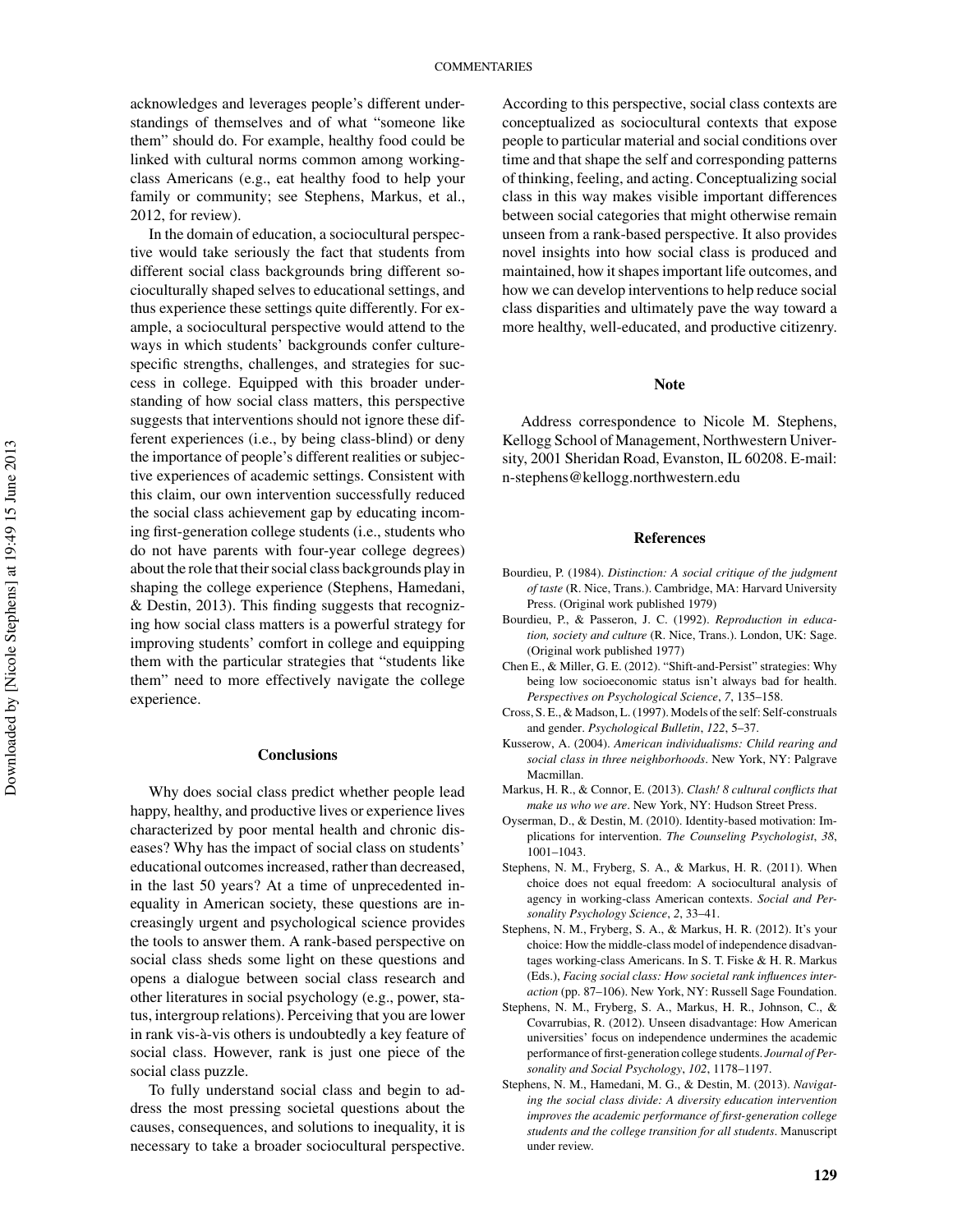acknowledges and leverages people's different understandings of themselves and of what "someone like them" should do. For example, healthy food could be linked with cultural norms common among workingclass Americans (e.g., eat healthy food to help your family or community; see Stephens, Markus, et al., 2012, for review).

In the domain of education, a sociocultural perspective would take seriously the fact that students from different social class backgrounds bring different socioculturally shaped selves to educational settings, and thus experience these settings quite differently. For example, a sociocultural perspective would attend to the ways in which students' backgrounds confer culturespecific strengths, challenges, and strategies for success in college. Equipped with this broader understanding of how social class matters, this perspective suggests that interventions should not ignore these different experiences (i.e., by being class-blind) or deny the importance of people's different realities or subjective experiences of academic settings. Consistent with this claim, our own intervention successfully reduced the social class achievement gap by educating incoming first-generation college students (i.e., students who do not have parents with four-year college degrees) about the role that their social class backgrounds play in shaping the college experience (Stephens, Hamedani, & Destin, 2013). This finding suggests that recognizing how social class matters is a powerful strategy for improving students' comfort in college and equipping them with the particular strategies that "students like them" need to more effectively navigate the college experience.

#### **Conclusions**

Why does social class predict whether people lead happy, healthy, and productive lives or experience lives characterized by poor mental health and chronic diseases? Why has the impact of social class on students' educational outcomes increased, rather than decreased, in the last 50 years? At a time of unprecedented inequality in American society, these questions are increasingly urgent and psychological science provides the tools to answer them. A rank-based perspective on social class sheds some light on these questions and opens a dialogue between social class research and other literatures in social psychology (e.g., power, status, intergroup relations). Perceiving that you are lower in rank vis-à-vis others is undoubtedly a key feature of social class. However, rank is just one piece of the social class puzzle.

To fully understand social class and begin to address the most pressing societal questions about the causes, consequences, and solutions to inequality, it is necessary to take a broader sociocultural perspective.

According to this perspective, social class contexts are conceptualized as sociocultural contexts that expose people to particular material and social conditions over time and that shape the self and corresponding patterns of thinking, feeling, and acting. Conceptualizing social class in this way makes visible important differences between social categories that might otherwise remain unseen from a rank-based perspective. It also provides novel insights into how social class is produced and maintained, how it shapes important life outcomes, and how we can develop interventions to help reduce social class disparities and ultimately pave the way toward a more healthy, well-educated, and productive citizenry.

#### **Note**

Address correspondence to Nicole M. Stephens, Kellogg School of Management, Northwestern University, 2001 Sheridan Road, Evanston, IL 60208. E-mail: n-stephens@kellogg.northwestern.edu

### **References**

- Bourdieu, P. (1984). *Distinction: A social critique of the judgment of taste* (R. Nice, Trans.). Cambridge, MA: Harvard University Press. (Original work published 1979)
- Bourdieu, P., & Passeron, J. C. (1992). *Reproduction in education, society and culture* (R. Nice, Trans.). London, UK: Sage. (Original work published 1977)
- Chen E., & Miller, G. E. (2012). "Shift-and-Persist" strategies: Why being low socioeconomic status isn't always bad for health. *Perspectives on Psychological Science*, *7*, 135–158.
- Cross, S. E., & Madson, L. (1997). Models of the self: Self-construals and gender. *Psychological Bulletin*, *122*, 5–37.
- Kusserow, A. (2004). *American individualisms: Child rearing and social class in three neighborhoods*. New York, NY: Palgrave Macmillan.
- Markus, H. R., & Connor, E. (2013). *Clash! 8 cultural conflicts that make us who we are*. New York, NY: Hudson Street Press.
- Oyserman, D., & Destin, M. (2010). Identity-based motivation: Implications for intervention. *The Counseling Psychologist*, *38*, 1001–1043.
- Stephens, N. M., Fryberg, S. A., & Markus, H. R. (2011). When choice does not equal freedom: A sociocultural analysis of agency in working-class American contexts. *Social and Personality Psychology Science*, *2*, 33–41.
- Stephens, N. M., Fryberg, S. A., & Markus, H. R. (2012). It's your choice: How the middle-class model of independence disadvantages working-class Americans. In S. T. Fiske & H. R. Markus (Eds.), *Facing social class: How societal rank influences interaction* (pp. 87–106). New York, NY: Russell Sage Foundation.
- Stephens, N. M., Fryberg, S. A., Markus, H. R., Johnson, C., & Covarrubias, R. (2012). Unseen disadvantage: How American universities' focus on independence undermines the academic performance of first-generation college students. *Journal of Personality and Social Psychology*, *102*, 1178–1197.
- Stephens, N. M., Hamedani, M. G., & Destin, M. (2013). *Navigating the social class divide: A diversity education intervention improves the academic performance of first-generation college students and the college transition for all students*. Manuscript under review.